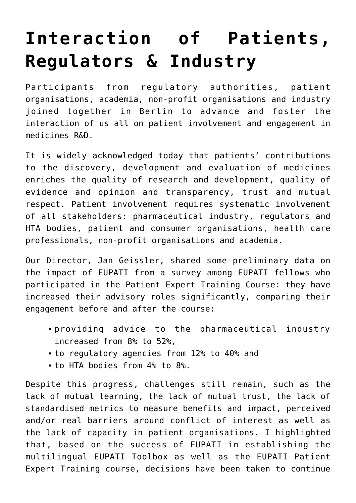## **[Interaction of Patients,](https://toolbox.eupati.eu/resources/interaction-of-patients-regulators-industry/) [Regulators & Industry](https://toolbox.eupati.eu/resources/interaction-of-patients-regulators-industry/)**

Participants from regulatory authorities, patient organisations, academia, non-profit organisations and industry joined together in Berlin to advance and foster the interaction of us all on patient involvement and engagement in medicines R&D.

It is widely acknowledged today that patients' contributions to the discovery, development and evaluation of medicines enriches the quality of research and development, quality of evidence and opinion and transparency, trust and mutual respect. Patient involvement requires systematic involvement of all stakeholders: pharmaceutical industry, regulators and HTA bodies, patient and consumer organisations, health care professionals, non-profit organisations and academia.

Our Director, Jan Geissler, shared some preliminary data on the impact of EUPATI from a survey among EUPATI fellows who participated in the Patient Expert Training Course: they have increased their advisory roles significantly, comparing their engagement before and after the course:

- providing advice to the pharmaceutical industry increased from 8% to 52%,
- to regulatory agencies from 12% to 40% and
- to HTA bodies from 4% to 8%.

Despite this progress, challenges still remain, such as the lack of mutual learning, the lack of mutual trust, the lack of standardised metrics to measure benefits and impact, perceived and/or real barriers around conflict of interest as well as the lack of capacity in patient organisations. I highlighted that, based on the success of EUPATI in establishing the multilingual EUPATI Toolbox as well as the EUPATI Patient Expert Training course, decisions have been taken to continue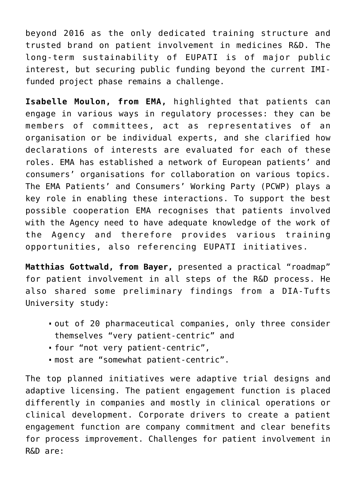beyond 2016 as the only dedicated training structure and trusted brand on patient involvement in medicines R&D. The long-term sustainability of EUPATI is of major public interest, but securing public funding beyond the current IMIfunded project phase remains a challenge.

**Isabelle Moulon, from EMA,** highlighted that patients can engage in various ways in regulatory processes: they can be members of committees, act as representatives of an organisation or be individual experts, and she clarified how declarations of interests are evaluated for each of these roles. EMA has established a network of European patients' and consumers' organisations for collaboration on various topics. The EMA Patients' and Consumers' Working Party (PCWP) plays a key role in enabling these interactions. To support the best possible cooperation EMA recognises that patients involved with the Agency need to have adequate knowledge of the work of the Agency and therefore provides various training opportunities, also referencing EUPATI initiatives.

**Matthias Gottwald, from Bayer,** presented a practical "roadmap" for patient involvement in all steps of the R&D process. He also shared some preliminary findings from a DIA-Tufts University study:

- out of 20 pharmaceutical companies, only three consider themselves "very patient-centric" and
- four "not very patient-centric",
- most are "somewhat patient-centric".

The top planned initiatives were adaptive trial designs and adaptive licensing. The patient engagement function is placed differently in companies and mostly in clinical operations or clinical development. Corporate drivers to create a patient engagement function are company commitment and clear benefits for process improvement. Challenges for patient involvement in R&D are: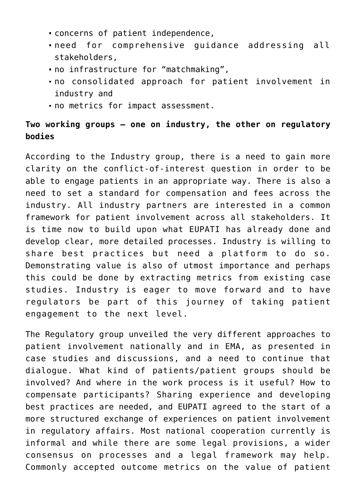- concerns of patient independence,
- need for comprehensive guidance addressing all stakeholders,
- no infrastructure for "matchmaking",
- no consolidated approach for patient involvement in industry and
- no metrics for impact assessment.

## **Two working groups – one on industry, the other on regulatory bodies**

According to the Industry group, there is a need to gain more clarity on the conflict-of-interest question in order to be able to engage patients in an appropriate way. There is also a need to set a standard for compensation and fees across the industry. All industry partners are interested in a common framework for patient involvement across all stakeholders. It is time now to build upon what EUPATI has already done and develop clear, more detailed processes. Industry is willing to share best practices but need a platform to do so. Demonstrating value is also of utmost importance and perhaps this could be done by extracting metrics from existing case studies. Industry is eager to move forward and to have regulators be part of this journey of taking patient engagement to the next level.

The Regulatory group unveiled the very different approaches to patient involvement nationally and in EMA, as presented in case studies and discussions, and a need to continue that dialogue. What kind of patients/patient groups should be involved? And where in the work process is it useful? How to compensate participants? Sharing experience and developing best practices are needed, and EUPATI agreed to the start of a more structured exchange of experiences on patient involvement in regulatory affairs. Most national cooperation currently is informal and while there are some legal provisions, a wider consensus on processes and a legal framework may help. Commonly accepted outcome metrics on the value of patient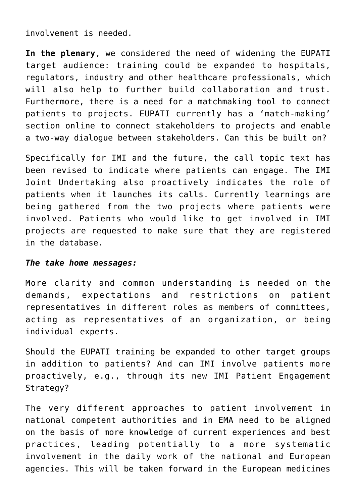involvement is needed.

**In the plenary**, we considered the need of widening the EUPATI target audience: training could be expanded to hospitals, regulators, industry and other healthcare professionals, which will also help to further build collaboration and trust. Furthermore, there is a need for a matchmaking tool to connect patients to projects. EUPATI currently has a 'match-making' section online to connect stakeholders to projects and enable a two-way dialogue between stakeholders. Can this be built on?

Specifically for IMI and the future, the call topic text has been revised to indicate where patients can engage. The IMI Joint Undertaking also proactively indicates the role of patients when it launches its calls. Currently learnings are being gathered from the two projects where patients were involved. Patients who would like to get involved in IMI projects are requested to make sure that they are registered in the database.

## *The take home messages:*

More clarity and common understanding is needed on the demands, expectations and restrictions on patient representatives in different roles as members of committees, acting as representatives of an organization, or being individual experts.

Should the EUPATI training be expanded to other target groups in addition to patients? And can IMI involve patients more proactively, e.g., through its new IMI Patient Engagement Strategy?

The very different approaches to patient involvement in national competent authorities and in EMA need to be aligned on the basis of more knowledge of current experiences and best practices, leading potentially to a more systematic involvement in the daily work of the national and European agencies. This will be taken forward in the European medicines